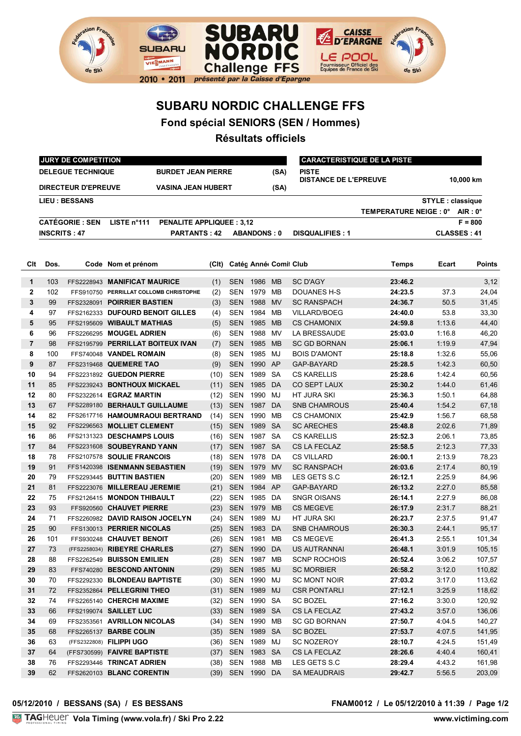

## **SUBARU NORDIC CHALLENGE FFS**

**Fond spécial SENIORS (SEN / Hommes)**

## **Résultats officiels**

| <b>DELEGUE TECHNIQUE</b><br><b>BURDET JEAN PIERRE</b><br><b>PISTE</b><br>(SA)<br><b>DISTANCE DE L'EPREUVE</b><br>10,000 km<br><b>DIRECTEUR D'EPREUVE</b><br><b>VASINA JEAN HUBERT</b><br>(SA)<br><b>LIEU: BESSANS</b><br><b>STYLE:</b> classique<br>TEMPERATURE NEIGE : 0° AIR : 0°<br><b>CATÉGORIE : SEN</b><br><b>PENALITE APPLIQUEE: 3,12</b><br>LISTE n°111<br>$F = 800$<br><b>INSCRITS: 47</b><br><b>PARTANTS: 42</b><br><b>ABANDONS: 0</b><br><b>CLASSES: 41</b><br><b>DISQUALIFIES: 1</b><br>Dos.<br>Code Nom et prénom<br>(CIt)<br>Catég Anné Comit Club<br>Temps<br>Ecart<br>1986<br><b>MB</b><br>103<br>FFS2228943 MANIFICAT MAURICE<br>(1)<br><b>SEN</b><br>SC D'AGY<br>23:46.2<br>1<br>$\overline{2}$<br>102<br>SEN<br>1979 MB<br>DOUANES H-S<br>24:23.5<br>37.3<br>FFS910750 PERRILLAT COLLOMB CHRISTOPHE<br>(2)<br>3<br>1988<br>50.5<br>99<br><b>SEN</b><br><b>MV</b><br><b>SC RANSPACH</b><br>24:36.7<br>FFS2328091 POIRRIER BASTIEN<br>(3)<br>4<br>97<br>FFS2162333 DUFOURD BENOIT GILLES<br>SEN<br>1984<br>МB<br><b>VILLARD/BOEG</b><br>24:40.0<br>53.8<br>(4)<br>5<br>95<br>FFS2195609 WIBAULT MATHIAS<br><b>SEN</b><br>1985<br><b>MB</b><br><b>CS CHAMONIX</b><br>24:59.8<br>1:13.6<br>(5)<br>6<br>96<br>FFS2266295 MOUGEL ADRIEN<br>1988<br>MV<br>LA BRESSAUDE<br>25:03.0<br>1:16.8<br>SEN<br>(6)<br>$\overline{7}$<br>98<br>FFS2195799 PERRILLAT BOITEUX IVAN<br><b>SEN</b><br>1985<br><b>MB</b><br>25:06.1<br><b>SC GD BORNAN</b><br>1:19.9<br>(7)<br>8<br>100<br>FFS740048 VANDEL ROMAIN<br><b>SEN</b><br>1985<br>MJ<br>1:32.6<br>(8)<br>BOIS D'AMONT<br>25:18.8<br>1990<br>1:42.3<br>9<br>87<br>FFS2319468 QUEMERE TAO<br><b>SEN</b><br>AP<br>25:28.5<br>(9)<br>GAP-BAYARD<br>1989<br><b>SA</b><br>94<br>FFS2231892 GUEDON PIERRE<br><b>SEN</b><br><b>CS KARELLIS</b><br>25:28.6<br>1:42.4<br>(10)<br>DA<br>85<br>FFS2239243 BONTHOUX MICKAEL<br><b>SEN</b><br>1985<br><b>CO SEPT LAUX</b><br>25:30.2<br>1:44.0<br>(11)<br>80<br>FFS2322614 EGRAZ MARTIN<br>SEN<br>1990 MJ<br>HT JURA SKI<br>25:36.3<br>1:50.1<br>(12)<br>67<br>FFS2289180 BERHAULT GUILLAUME<br><b>SEN</b><br>1987<br>DA<br><b>SNB CHAMROUS</b><br>25:40.4<br>1:54.2<br>(13)<br>82<br><b>SEN</b><br>1990 MB<br><b>CS CHAMONIX</b><br>1:56.7<br>FFS2617716 HAMOUMRAOUI BERTRAND<br>(14)<br>25:42.9<br>92<br><b>SEN</b><br>1989 SA<br><b>SC ARECHES</b><br>2:02.6<br>FFS2296563 MOLLIET CLEMENT<br>(15)<br>25:48.8<br>86<br>(16)<br><b>SEN</b><br>1987 SA<br><b>CS KARELLIS</b><br>25:52.3<br>2:06.1<br>FFS2131323 DESCHAMPS LOUIS<br>84<br>(17)<br><b>SEN</b><br>1987 SA<br><b>CS LA FECLAZ</b><br>2:12.3<br>FFS2231608 SOUBEYRAND YANN<br>25:58.5<br>FFS2107578 SOULIE FRANCOIS<br>(18)<br>SEN<br>1978<br>DA<br><b>CS VILLARD</b><br>26:00.1<br>2:13.9<br>78<br>91<br>(19)<br><b>SEN</b><br>1979<br><b>MV</b><br><b>SC RANSPACH</b><br>26:03.6<br>2:17.4<br>FFS1420398 ISENMANN SEBASTIEN<br>79<br>(20)<br><b>SEN</b><br>1989<br>2:25.9<br>FFS2293445 BUTTIN BASTIEN<br>MВ<br>LES GETS S.C<br>26:12.1<br>81<br>(21)<br><b>SEN</b><br>1984<br>AP<br>GAP-BAYARD<br>2:27.0<br>FFS2223076 MILLEREAU JEREMIE<br>26:13.2<br><b>SEN</b><br>FFS2126415 MONDON THIBAULT<br>(22)<br>1985<br>DA<br><b>SNGR OISANS</b><br>26:14.1<br>2:27.9<br>75<br>93<br><b>SEN</b><br>FFS920560 CHAUVET PIERRE<br>(23)<br>1979<br><b>MB</b><br><b>CS MEGEVE</b><br>26:17.9<br>2:31.7<br>FFS2260982 DAVID RAISON JOCELYN<br><b>SEN</b><br>1989<br>MJ<br>HT JURA SKI<br>26:23.7<br>2:37.5<br>71<br>(24)<br>90<br><b>SEN</b><br>1983<br>DA<br>26:30.3<br>2:44.1<br>FFS130013 PERRIER NICOLAS<br>(25)<br><b>SNB CHAMROUS</b><br>101<br>FFS930248 CHAUVET BENOIT<br><b>SEN</b><br>1981<br>MВ<br><b>CS MEGEVE</b><br>26:41.3<br>2:55.1<br>(26)<br>26:48.1<br>3:01.9<br>(FFS2258034) RIBEYRE CHARLES<br>SEN 1990 DA<br>US AUTRANNAI<br>73<br>(27)<br>SEN 1987 MB<br><b>SCNP ROCHOIS</b><br>26:52.4<br>88<br>FFS2262549 BUISSON EMILIEN<br>3:06.2<br>(28)<br>83<br>FFS740280 BESCOND ANTONIN<br>SEN 1985 MJ<br>26:58.2<br>(29)<br><b>SC MORBIER</b><br>3:12.0<br>FFS2292330 BLONDEAU BAPTISTE<br>SEN 1990 MJ<br>SC MONT NOIR<br>27:03.2<br>3:17.0<br>70<br>(30)<br>FFS2352864 PELLEGRINI THEO<br><b>SEN</b><br>1989 MJ<br><b>CSR PONTARLI</b><br>27:12.1<br>3:25.9<br>72<br>(31)<br>1990 SA<br><b>SC BOZEL</b><br>27:16.2<br>FFS2265140 CHERCHI MAXIME<br>SEN<br>3:30.0<br>74<br>(32)<br>1989 SA<br>66<br>FFS2199074 SAILLET LUC<br><b>SEN</b><br>CS LA FECLAZ<br>27:43.2<br>3:57.0<br>(33)<br>FFS2353561 AVRILLON NICOLAS<br>1990 MB<br>69<br>SEN<br><b>SC GD BORNAN</b><br>27:50.7<br>4:04.5<br>(34)<br><b>SEN</b><br>1989 SA<br>27:53.7<br>4:07.5<br>68<br>FFS2265137 BARBE COLIN<br>(35)<br><b>SC BOZEL</b><br>63<br>(FFS2322808) FILIPPI UGO<br>SEN<br>1989 MJ<br><b>SC NOZEROY</b><br>28:10.7<br>4:24.5<br>(36)<br>(FFS730599) FAIVRE BAPTISTE<br><b>SEN</b><br>1983 SA<br>CS LA FECLAZ<br>28:26.6<br>4:40.4<br>64<br>(37)<br>FFS2293446 TRINCAT ADRIEN<br>SEN<br>1988 MB<br>28:29.4<br>76<br>(38)<br>LES GETS S.C<br>4:43.2<br>62<br>FFS2620103 BLANC CORENTIN<br>SEN 1990 DA<br><b>SA MEAUDRAIS</b><br>(39)<br>29:42.7<br>5:56.5 |     | <b>JURY DE COMPETITION</b> |  |  |  |  |  |  |  | <b>CARACTERISTIQUE DE LA PISTE</b> |  |  |               |  |
|--------------------------------------------------------------------------------------------------------------------------------------------------------------------------------------------------------------------------------------------------------------------------------------------------------------------------------------------------------------------------------------------------------------------------------------------------------------------------------------------------------------------------------------------------------------------------------------------------------------------------------------------------------------------------------------------------------------------------------------------------------------------------------------------------------------------------------------------------------------------------------------------------------------------------------------------------------------------------------------------------------------------------------------------------------------------------------------------------------------------------------------------------------------------------------------------------------------------------------------------------------------------------------------------------------------------------------------------------------------------------------------------------------------------------------------------------------------------------------------------------------------------------------------------------------------------------------------------------------------------------------------------------------------------------------------------------------------------------------------------------------------------------------------------------------------------------------------------------------------------------------------------------------------------------------------------------------------------------------------------------------------------------------------------------------------------------------------------------------------------------------------------------------------------------------------------------------------------------------------------------------------------------------------------------------------------------------------------------------------------------------------------------------------------------------------------------------------------------------------------------------------------------------------------------------------------------------------------------------------------------------------------------------------------------------------------------------------------------------------------------------------------------------------------------------------------------------------------------------------------------------------------------------------------------------------------------------------------------------------------------------------------------------------------------------------------------------------------------------------------------------------------------------------------------------------------------------------------------------------------------------------------------------------------------------------------------------------------------------------------------------------------------------------------------------------------------------------------------------------------------------------------------------------------------------------------------------------------------------------------------------------------------------------------------------------------------------------------------------------------------------------------------------------------------------------------------------------------------------------------------------------------------------------------------------------------------------------------------------------------------------------------------------------------------------------------------------------------------------------------------------------------------------------------------------------------------------------------------------------------------------------------------------------------------------------------------------------------------------------------------------------------------------------------------------------------------------------------------------------------------------------------------------------------------------------------------------------------------------------------------------------------------------------------------------------------------------------------------------------------------------------------------------------------------------------------------------------------------------------------------------------------------------------------------------------------------------------------------------------------------------------------------------------------------------------------------------------------------|-----|----------------------------|--|--|--|--|--|--|--|------------------------------------|--|--|---------------|--|
|                                                                                                                                                                                                                                                                                                                                                                                                                                                                                                                                                                                                                                                                                                                                                                                                                                                                                                                                                                                                                                                                                                                                                                                                                                                                                                                                                                                                                                                                                                                                                                                                                                                                                                                                                                                                                                                                                                                                                                                                                                                                                                                                                                                                                                                                                                                                                                                                                                                                                                                                                                                                                                                                                                                                                                                                                                                                                                                                                                                                                                                                                                                                                                                                                                                                                                                                                                                                                                                                                                                                                                                                                                                                                                                                                                                                                                                                                                                                                                                                                                                                                                                                                                                                                                                                                                                                                                                                                                                                                                                                                                                                                                                                                                                                                                                                                                                                                                                                                                                                                                                                                                  |     |                            |  |  |  |  |  |  |  |                                    |  |  |               |  |
|                                                                                                                                                                                                                                                                                                                                                                                                                                                                                                                                                                                                                                                                                                                                                                                                                                                                                                                                                                                                                                                                                                                                                                                                                                                                                                                                                                                                                                                                                                                                                                                                                                                                                                                                                                                                                                                                                                                                                                                                                                                                                                                                                                                                                                                                                                                                                                                                                                                                                                                                                                                                                                                                                                                                                                                                                                                                                                                                                                                                                                                                                                                                                                                                                                                                                                                                                                                                                                                                                                                                                                                                                                                                                                                                                                                                                                                                                                                                                                                                                                                                                                                                                                                                                                                                                                                                                                                                                                                                                                                                                                                                                                                                                                                                                                                                                                                                                                                                                                                                                                                                                                  |     |                            |  |  |  |  |  |  |  |                                    |  |  |               |  |
|                                                                                                                                                                                                                                                                                                                                                                                                                                                                                                                                                                                                                                                                                                                                                                                                                                                                                                                                                                                                                                                                                                                                                                                                                                                                                                                                                                                                                                                                                                                                                                                                                                                                                                                                                                                                                                                                                                                                                                                                                                                                                                                                                                                                                                                                                                                                                                                                                                                                                                                                                                                                                                                                                                                                                                                                                                                                                                                                                                                                                                                                                                                                                                                                                                                                                                                                                                                                                                                                                                                                                                                                                                                                                                                                                                                                                                                                                                                                                                                                                                                                                                                                                                                                                                                                                                                                                                                                                                                                                                                                                                                                                                                                                                                                                                                                                                                                                                                                                                                                                                                                                                  |     |                            |  |  |  |  |  |  |  |                                    |  |  |               |  |
|                                                                                                                                                                                                                                                                                                                                                                                                                                                                                                                                                                                                                                                                                                                                                                                                                                                                                                                                                                                                                                                                                                                                                                                                                                                                                                                                                                                                                                                                                                                                                                                                                                                                                                                                                                                                                                                                                                                                                                                                                                                                                                                                                                                                                                                                                                                                                                                                                                                                                                                                                                                                                                                                                                                                                                                                                                                                                                                                                                                                                                                                                                                                                                                                                                                                                                                                                                                                                                                                                                                                                                                                                                                                                                                                                                                                                                                                                                                                                                                                                                                                                                                                                                                                                                                                                                                                                                                                                                                                                                                                                                                                                                                                                                                                                                                                                                                                                                                                                                                                                                                                                                  |     |                            |  |  |  |  |  |  |  |                                    |  |  |               |  |
|                                                                                                                                                                                                                                                                                                                                                                                                                                                                                                                                                                                                                                                                                                                                                                                                                                                                                                                                                                                                                                                                                                                                                                                                                                                                                                                                                                                                                                                                                                                                                                                                                                                                                                                                                                                                                                                                                                                                                                                                                                                                                                                                                                                                                                                                                                                                                                                                                                                                                                                                                                                                                                                                                                                                                                                                                                                                                                                                                                                                                                                                                                                                                                                                                                                                                                                                                                                                                                                                                                                                                                                                                                                                                                                                                                                                                                                                                                                                                                                                                                                                                                                                                                                                                                                                                                                                                                                                                                                                                                                                                                                                                                                                                                                                                                                                                                                                                                                                                                                                                                                                                                  |     |                            |  |  |  |  |  |  |  |                                    |  |  |               |  |
|                                                                                                                                                                                                                                                                                                                                                                                                                                                                                                                                                                                                                                                                                                                                                                                                                                                                                                                                                                                                                                                                                                                                                                                                                                                                                                                                                                                                                                                                                                                                                                                                                                                                                                                                                                                                                                                                                                                                                                                                                                                                                                                                                                                                                                                                                                                                                                                                                                                                                                                                                                                                                                                                                                                                                                                                                                                                                                                                                                                                                                                                                                                                                                                                                                                                                                                                                                                                                                                                                                                                                                                                                                                                                                                                                                                                                                                                                                                                                                                                                                                                                                                                                                                                                                                                                                                                                                                                                                                                                                                                                                                                                                                                                                                                                                                                                                                                                                                                                                                                                                                                                                  |     |                            |  |  |  |  |  |  |  |                                    |  |  |               |  |
|                                                                                                                                                                                                                                                                                                                                                                                                                                                                                                                                                                                                                                                                                                                                                                                                                                                                                                                                                                                                                                                                                                                                                                                                                                                                                                                                                                                                                                                                                                                                                                                                                                                                                                                                                                                                                                                                                                                                                                                                                                                                                                                                                                                                                                                                                                                                                                                                                                                                                                                                                                                                                                                                                                                                                                                                                                                                                                                                                                                                                                                                                                                                                                                                                                                                                                                                                                                                                                                                                                                                                                                                                                                                                                                                                                                                                                                                                                                                                                                                                                                                                                                                                                                                                                                                                                                                                                                                                                                                                                                                                                                                                                                                                                                                                                                                                                                                                                                                                                                                                                                                                                  |     |                            |  |  |  |  |  |  |  |                                    |  |  |               |  |
|                                                                                                                                                                                                                                                                                                                                                                                                                                                                                                                                                                                                                                                                                                                                                                                                                                                                                                                                                                                                                                                                                                                                                                                                                                                                                                                                                                                                                                                                                                                                                                                                                                                                                                                                                                                                                                                                                                                                                                                                                                                                                                                                                                                                                                                                                                                                                                                                                                                                                                                                                                                                                                                                                                                                                                                                                                                                                                                                                                                                                                                                                                                                                                                                                                                                                                                                                                                                                                                                                                                                                                                                                                                                                                                                                                                                                                                                                                                                                                                                                                                                                                                                                                                                                                                                                                                                                                                                                                                                                                                                                                                                                                                                                                                                                                                                                                                                                                                                                                                                                                                                                                  |     |                            |  |  |  |  |  |  |  |                                    |  |  |               |  |
|                                                                                                                                                                                                                                                                                                                                                                                                                                                                                                                                                                                                                                                                                                                                                                                                                                                                                                                                                                                                                                                                                                                                                                                                                                                                                                                                                                                                                                                                                                                                                                                                                                                                                                                                                                                                                                                                                                                                                                                                                                                                                                                                                                                                                                                                                                                                                                                                                                                                                                                                                                                                                                                                                                                                                                                                                                                                                                                                                                                                                                                                                                                                                                                                                                                                                                                                                                                                                                                                                                                                                                                                                                                                                                                                                                                                                                                                                                                                                                                                                                                                                                                                                                                                                                                                                                                                                                                                                                                                                                                                                                                                                                                                                                                                                                                                                                                                                                                                                                                                                                                                                                  | Clt |                            |  |  |  |  |  |  |  |                                    |  |  | <b>Points</b> |  |
|                                                                                                                                                                                                                                                                                                                                                                                                                                                                                                                                                                                                                                                                                                                                                                                                                                                                                                                                                                                                                                                                                                                                                                                                                                                                                                                                                                                                                                                                                                                                                                                                                                                                                                                                                                                                                                                                                                                                                                                                                                                                                                                                                                                                                                                                                                                                                                                                                                                                                                                                                                                                                                                                                                                                                                                                                                                                                                                                                                                                                                                                                                                                                                                                                                                                                                                                                                                                                                                                                                                                                                                                                                                                                                                                                                                                                                                                                                                                                                                                                                                                                                                                                                                                                                                                                                                                                                                                                                                                                                                                                                                                                                                                                                                                                                                                                                                                                                                                                                                                                                                                                                  |     |                            |  |  |  |  |  |  |  |                                    |  |  | 3,12          |  |
|                                                                                                                                                                                                                                                                                                                                                                                                                                                                                                                                                                                                                                                                                                                                                                                                                                                                                                                                                                                                                                                                                                                                                                                                                                                                                                                                                                                                                                                                                                                                                                                                                                                                                                                                                                                                                                                                                                                                                                                                                                                                                                                                                                                                                                                                                                                                                                                                                                                                                                                                                                                                                                                                                                                                                                                                                                                                                                                                                                                                                                                                                                                                                                                                                                                                                                                                                                                                                                                                                                                                                                                                                                                                                                                                                                                                                                                                                                                                                                                                                                                                                                                                                                                                                                                                                                                                                                                                                                                                                                                                                                                                                                                                                                                                                                                                                                                                                                                                                                                                                                                                                                  |     |                            |  |  |  |  |  |  |  |                                    |  |  | 24,04         |  |
|                                                                                                                                                                                                                                                                                                                                                                                                                                                                                                                                                                                                                                                                                                                                                                                                                                                                                                                                                                                                                                                                                                                                                                                                                                                                                                                                                                                                                                                                                                                                                                                                                                                                                                                                                                                                                                                                                                                                                                                                                                                                                                                                                                                                                                                                                                                                                                                                                                                                                                                                                                                                                                                                                                                                                                                                                                                                                                                                                                                                                                                                                                                                                                                                                                                                                                                                                                                                                                                                                                                                                                                                                                                                                                                                                                                                                                                                                                                                                                                                                                                                                                                                                                                                                                                                                                                                                                                                                                                                                                                                                                                                                                                                                                                                                                                                                                                                                                                                                                                                                                                                                                  |     |                            |  |  |  |  |  |  |  |                                    |  |  | 31,45         |  |
|                                                                                                                                                                                                                                                                                                                                                                                                                                                                                                                                                                                                                                                                                                                                                                                                                                                                                                                                                                                                                                                                                                                                                                                                                                                                                                                                                                                                                                                                                                                                                                                                                                                                                                                                                                                                                                                                                                                                                                                                                                                                                                                                                                                                                                                                                                                                                                                                                                                                                                                                                                                                                                                                                                                                                                                                                                                                                                                                                                                                                                                                                                                                                                                                                                                                                                                                                                                                                                                                                                                                                                                                                                                                                                                                                                                                                                                                                                                                                                                                                                                                                                                                                                                                                                                                                                                                                                                                                                                                                                                                                                                                                                                                                                                                                                                                                                                                                                                                                                                                                                                                                                  |     |                            |  |  |  |  |  |  |  |                                    |  |  | 33,30         |  |
|                                                                                                                                                                                                                                                                                                                                                                                                                                                                                                                                                                                                                                                                                                                                                                                                                                                                                                                                                                                                                                                                                                                                                                                                                                                                                                                                                                                                                                                                                                                                                                                                                                                                                                                                                                                                                                                                                                                                                                                                                                                                                                                                                                                                                                                                                                                                                                                                                                                                                                                                                                                                                                                                                                                                                                                                                                                                                                                                                                                                                                                                                                                                                                                                                                                                                                                                                                                                                                                                                                                                                                                                                                                                                                                                                                                                                                                                                                                                                                                                                                                                                                                                                                                                                                                                                                                                                                                                                                                                                                                                                                                                                                                                                                                                                                                                                                                                                                                                                                                                                                                                                                  |     |                            |  |  |  |  |  |  |  |                                    |  |  | 44,40         |  |
|                                                                                                                                                                                                                                                                                                                                                                                                                                                                                                                                                                                                                                                                                                                                                                                                                                                                                                                                                                                                                                                                                                                                                                                                                                                                                                                                                                                                                                                                                                                                                                                                                                                                                                                                                                                                                                                                                                                                                                                                                                                                                                                                                                                                                                                                                                                                                                                                                                                                                                                                                                                                                                                                                                                                                                                                                                                                                                                                                                                                                                                                                                                                                                                                                                                                                                                                                                                                                                                                                                                                                                                                                                                                                                                                                                                                                                                                                                                                                                                                                                                                                                                                                                                                                                                                                                                                                                                                                                                                                                                                                                                                                                                                                                                                                                                                                                                                                                                                                                                                                                                                                                  |     |                            |  |  |  |  |  |  |  |                                    |  |  | 46,20         |  |
|                                                                                                                                                                                                                                                                                                                                                                                                                                                                                                                                                                                                                                                                                                                                                                                                                                                                                                                                                                                                                                                                                                                                                                                                                                                                                                                                                                                                                                                                                                                                                                                                                                                                                                                                                                                                                                                                                                                                                                                                                                                                                                                                                                                                                                                                                                                                                                                                                                                                                                                                                                                                                                                                                                                                                                                                                                                                                                                                                                                                                                                                                                                                                                                                                                                                                                                                                                                                                                                                                                                                                                                                                                                                                                                                                                                                                                                                                                                                                                                                                                                                                                                                                                                                                                                                                                                                                                                                                                                                                                                                                                                                                                                                                                                                                                                                                                                                                                                                                                                                                                                                                                  |     |                            |  |  |  |  |  |  |  |                                    |  |  | 47,94         |  |
|                                                                                                                                                                                                                                                                                                                                                                                                                                                                                                                                                                                                                                                                                                                                                                                                                                                                                                                                                                                                                                                                                                                                                                                                                                                                                                                                                                                                                                                                                                                                                                                                                                                                                                                                                                                                                                                                                                                                                                                                                                                                                                                                                                                                                                                                                                                                                                                                                                                                                                                                                                                                                                                                                                                                                                                                                                                                                                                                                                                                                                                                                                                                                                                                                                                                                                                                                                                                                                                                                                                                                                                                                                                                                                                                                                                                                                                                                                                                                                                                                                                                                                                                                                                                                                                                                                                                                                                                                                                                                                                                                                                                                                                                                                                                                                                                                                                                                                                                                                                                                                                                                                  |     |                            |  |  |  |  |  |  |  |                                    |  |  | 55,06         |  |
|                                                                                                                                                                                                                                                                                                                                                                                                                                                                                                                                                                                                                                                                                                                                                                                                                                                                                                                                                                                                                                                                                                                                                                                                                                                                                                                                                                                                                                                                                                                                                                                                                                                                                                                                                                                                                                                                                                                                                                                                                                                                                                                                                                                                                                                                                                                                                                                                                                                                                                                                                                                                                                                                                                                                                                                                                                                                                                                                                                                                                                                                                                                                                                                                                                                                                                                                                                                                                                                                                                                                                                                                                                                                                                                                                                                                                                                                                                                                                                                                                                                                                                                                                                                                                                                                                                                                                                                                                                                                                                                                                                                                                                                                                                                                                                                                                                                                                                                                                                                                                                                                                                  |     |                            |  |  |  |  |  |  |  |                                    |  |  | 60,50         |  |
|                                                                                                                                                                                                                                                                                                                                                                                                                                                                                                                                                                                                                                                                                                                                                                                                                                                                                                                                                                                                                                                                                                                                                                                                                                                                                                                                                                                                                                                                                                                                                                                                                                                                                                                                                                                                                                                                                                                                                                                                                                                                                                                                                                                                                                                                                                                                                                                                                                                                                                                                                                                                                                                                                                                                                                                                                                                                                                                                                                                                                                                                                                                                                                                                                                                                                                                                                                                                                                                                                                                                                                                                                                                                                                                                                                                                                                                                                                                                                                                                                                                                                                                                                                                                                                                                                                                                                                                                                                                                                                                                                                                                                                                                                                                                                                                                                                                                                                                                                                                                                                                                                                  | 10  |                            |  |  |  |  |  |  |  |                                    |  |  | 60,56         |  |
|                                                                                                                                                                                                                                                                                                                                                                                                                                                                                                                                                                                                                                                                                                                                                                                                                                                                                                                                                                                                                                                                                                                                                                                                                                                                                                                                                                                                                                                                                                                                                                                                                                                                                                                                                                                                                                                                                                                                                                                                                                                                                                                                                                                                                                                                                                                                                                                                                                                                                                                                                                                                                                                                                                                                                                                                                                                                                                                                                                                                                                                                                                                                                                                                                                                                                                                                                                                                                                                                                                                                                                                                                                                                                                                                                                                                                                                                                                                                                                                                                                                                                                                                                                                                                                                                                                                                                                                                                                                                                                                                                                                                                                                                                                                                                                                                                                                                                                                                                                                                                                                                                                  | 11  |                            |  |  |  |  |  |  |  |                                    |  |  | 61,46         |  |
|                                                                                                                                                                                                                                                                                                                                                                                                                                                                                                                                                                                                                                                                                                                                                                                                                                                                                                                                                                                                                                                                                                                                                                                                                                                                                                                                                                                                                                                                                                                                                                                                                                                                                                                                                                                                                                                                                                                                                                                                                                                                                                                                                                                                                                                                                                                                                                                                                                                                                                                                                                                                                                                                                                                                                                                                                                                                                                                                                                                                                                                                                                                                                                                                                                                                                                                                                                                                                                                                                                                                                                                                                                                                                                                                                                                                                                                                                                                                                                                                                                                                                                                                                                                                                                                                                                                                                                                                                                                                                                                                                                                                                                                                                                                                                                                                                                                                                                                                                                                                                                                                                                  | 12  |                            |  |  |  |  |  |  |  |                                    |  |  | 64,88         |  |
|                                                                                                                                                                                                                                                                                                                                                                                                                                                                                                                                                                                                                                                                                                                                                                                                                                                                                                                                                                                                                                                                                                                                                                                                                                                                                                                                                                                                                                                                                                                                                                                                                                                                                                                                                                                                                                                                                                                                                                                                                                                                                                                                                                                                                                                                                                                                                                                                                                                                                                                                                                                                                                                                                                                                                                                                                                                                                                                                                                                                                                                                                                                                                                                                                                                                                                                                                                                                                                                                                                                                                                                                                                                                                                                                                                                                                                                                                                                                                                                                                                                                                                                                                                                                                                                                                                                                                                                                                                                                                                                                                                                                                                                                                                                                                                                                                                                                                                                                                                                                                                                                                                  | 13  |                            |  |  |  |  |  |  |  |                                    |  |  | 67,18         |  |
|                                                                                                                                                                                                                                                                                                                                                                                                                                                                                                                                                                                                                                                                                                                                                                                                                                                                                                                                                                                                                                                                                                                                                                                                                                                                                                                                                                                                                                                                                                                                                                                                                                                                                                                                                                                                                                                                                                                                                                                                                                                                                                                                                                                                                                                                                                                                                                                                                                                                                                                                                                                                                                                                                                                                                                                                                                                                                                                                                                                                                                                                                                                                                                                                                                                                                                                                                                                                                                                                                                                                                                                                                                                                                                                                                                                                                                                                                                                                                                                                                                                                                                                                                                                                                                                                                                                                                                                                                                                                                                                                                                                                                                                                                                                                                                                                                                                                                                                                                                                                                                                                                                  | 14  |                            |  |  |  |  |  |  |  |                                    |  |  | 68,58         |  |
|                                                                                                                                                                                                                                                                                                                                                                                                                                                                                                                                                                                                                                                                                                                                                                                                                                                                                                                                                                                                                                                                                                                                                                                                                                                                                                                                                                                                                                                                                                                                                                                                                                                                                                                                                                                                                                                                                                                                                                                                                                                                                                                                                                                                                                                                                                                                                                                                                                                                                                                                                                                                                                                                                                                                                                                                                                                                                                                                                                                                                                                                                                                                                                                                                                                                                                                                                                                                                                                                                                                                                                                                                                                                                                                                                                                                                                                                                                                                                                                                                                                                                                                                                                                                                                                                                                                                                                                                                                                                                                                                                                                                                                                                                                                                                                                                                                                                                                                                                                                                                                                                                                  | 15  |                            |  |  |  |  |  |  |  |                                    |  |  | 71,89         |  |
|                                                                                                                                                                                                                                                                                                                                                                                                                                                                                                                                                                                                                                                                                                                                                                                                                                                                                                                                                                                                                                                                                                                                                                                                                                                                                                                                                                                                                                                                                                                                                                                                                                                                                                                                                                                                                                                                                                                                                                                                                                                                                                                                                                                                                                                                                                                                                                                                                                                                                                                                                                                                                                                                                                                                                                                                                                                                                                                                                                                                                                                                                                                                                                                                                                                                                                                                                                                                                                                                                                                                                                                                                                                                                                                                                                                                                                                                                                                                                                                                                                                                                                                                                                                                                                                                                                                                                                                                                                                                                                                                                                                                                                                                                                                                                                                                                                                                                                                                                                                                                                                                                                  | 16  |                            |  |  |  |  |  |  |  |                                    |  |  | 73,85         |  |
|                                                                                                                                                                                                                                                                                                                                                                                                                                                                                                                                                                                                                                                                                                                                                                                                                                                                                                                                                                                                                                                                                                                                                                                                                                                                                                                                                                                                                                                                                                                                                                                                                                                                                                                                                                                                                                                                                                                                                                                                                                                                                                                                                                                                                                                                                                                                                                                                                                                                                                                                                                                                                                                                                                                                                                                                                                                                                                                                                                                                                                                                                                                                                                                                                                                                                                                                                                                                                                                                                                                                                                                                                                                                                                                                                                                                                                                                                                                                                                                                                                                                                                                                                                                                                                                                                                                                                                                                                                                                                                                                                                                                                                                                                                                                                                                                                                                                                                                                                                                                                                                                                                  | 17  |                            |  |  |  |  |  |  |  |                                    |  |  | 77,33         |  |
|                                                                                                                                                                                                                                                                                                                                                                                                                                                                                                                                                                                                                                                                                                                                                                                                                                                                                                                                                                                                                                                                                                                                                                                                                                                                                                                                                                                                                                                                                                                                                                                                                                                                                                                                                                                                                                                                                                                                                                                                                                                                                                                                                                                                                                                                                                                                                                                                                                                                                                                                                                                                                                                                                                                                                                                                                                                                                                                                                                                                                                                                                                                                                                                                                                                                                                                                                                                                                                                                                                                                                                                                                                                                                                                                                                                                                                                                                                                                                                                                                                                                                                                                                                                                                                                                                                                                                                                                                                                                                                                                                                                                                                                                                                                                                                                                                                                                                                                                                                                                                                                                                                  | 18  |                            |  |  |  |  |  |  |  |                                    |  |  | 78,23         |  |
|                                                                                                                                                                                                                                                                                                                                                                                                                                                                                                                                                                                                                                                                                                                                                                                                                                                                                                                                                                                                                                                                                                                                                                                                                                                                                                                                                                                                                                                                                                                                                                                                                                                                                                                                                                                                                                                                                                                                                                                                                                                                                                                                                                                                                                                                                                                                                                                                                                                                                                                                                                                                                                                                                                                                                                                                                                                                                                                                                                                                                                                                                                                                                                                                                                                                                                                                                                                                                                                                                                                                                                                                                                                                                                                                                                                                                                                                                                                                                                                                                                                                                                                                                                                                                                                                                                                                                                                                                                                                                                                                                                                                                                                                                                                                                                                                                                                                                                                                                                                                                                                                                                  | 19  |                            |  |  |  |  |  |  |  |                                    |  |  | 80,19         |  |
|                                                                                                                                                                                                                                                                                                                                                                                                                                                                                                                                                                                                                                                                                                                                                                                                                                                                                                                                                                                                                                                                                                                                                                                                                                                                                                                                                                                                                                                                                                                                                                                                                                                                                                                                                                                                                                                                                                                                                                                                                                                                                                                                                                                                                                                                                                                                                                                                                                                                                                                                                                                                                                                                                                                                                                                                                                                                                                                                                                                                                                                                                                                                                                                                                                                                                                                                                                                                                                                                                                                                                                                                                                                                                                                                                                                                                                                                                                                                                                                                                                                                                                                                                                                                                                                                                                                                                                                                                                                                                                                                                                                                                                                                                                                                                                                                                                                                                                                                                                                                                                                                                                  | 20  |                            |  |  |  |  |  |  |  |                                    |  |  | 84,96         |  |
|                                                                                                                                                                                                                                                                                                                                                                                                                                                                                                                                                                                                                                                                                                                                                                                                                                                                                                                                                                                                                                                                                                                                                                                                                                                                                                                                                                                                                                                                                                                                                                                                                                                                                                                                                                                                                                                                                                                                                                                                                                                                                                                                                                                                                                                                                                                                                                                                                                                                                                                                                                                                                                                                                                                                                                                                                                                                                                                                                                                                                                                                                                                                                                                                                                                                                                                                                                                                                                                                                                                                                                                                                                                                                                                                                                                                                                                                                                                                                                                                                                                                                                                                                                                                                                                                                                                                                                                                                                                                                                                                                                                                                                                                                                                                                                                                                                                                                                                                                                                                                                                                                                  | 21  |                            |  |  |  |  |  |  |  |                                    |  |  | 85,58         |  |
|                                                                                                                                                                                                                                                                                                                                                                                                                                                                                                                                                                                                                                                                                                                                                                                                                                                                                                                                                                                                                                                                                                                                                                                                                                                                                                                                                                                                                                                                                                                                                                                                                                                                                                                                                                                                                                                                                                                                                                                                                                                                                                                                                                                                                                                                                                                                                                                                                                                                                                                                                                                                                                                                                                                                                                                                                                                                                                                                                                                                                                                                                                                                                                                                                                                                                                                                                                                                                                                                                                                                                                                                                                                                                                                                                                                                                                                                                                                                                                                                                                                                                                                                                                                                                                                                                                                                                                                                                                                                                                                                                                                                                                                                                                                                                                                                                                                                                                                                                                                                                                                                                                  | 22  |                            |  |  |  |  |  |  |  |                                    |  |  | 86,08         |  |
|                                                                                                                                                                                                                                                                                                                                                                                                                                                                                                                                                                                                                                                                                                                                                                                                                                                                                                                                                                                                                                                                                                                                                                                                                                                                                                                                                                                                                                                                                                                                                                                                                                                                                                                                                                                                                                                                                                                                                                                                                                                                                                                                                                                                                                                                                                                                                                                                                                                                                                                                                                                                                                                                                                                                                                                                                                                                                                                                                                                                                                                                                                                                                                                                                                                                                                                                                                                                                                                                                                                                                                                                                                                                                                                                                                                                                                                                                                                                                                                                                                                                                                                                                                                                                                                                                                                                                                                                                                                                                                                                                                                                                                                                                                                                                                                                                                                                                                                                                                                                                                                                                                  | 23  |                            |  |  |  |  |  |  |  |                                    |  |  | 88,21         |  |
|                                                                                                                                                                                                                                                                                                                                                                                                                                                                                                                                                                                                                                                                                                                                                                                                                                                                                                                                                                                                                                                                                                                                                                                                                                                                                                                                                                                                                                                                                                                                                                                                                                                                                                                                                                                                                                                                                                                                                                                                                                                                                                                                                                                                                                                                                                                                                                                                                                                                                                                                                                                                                                                                                                                                                                                                                                                                                                                                                                                                                                                                                                                                                                                                                                                                                                                                                                                                                                                                                                                                                                                                                                                                                                                                                                                                                                                                                                                                                                                                                                                                                                                                                                                                                                                                                                                                                                                                                                                                                                                                                                                                                                                                                                                                                                                                                                                                                                                                                                                                                                                                                                  | 24  |                            |  |  |  |  |  |  |  |                                    |  |  | 91,47         |  |
|                                                                                                                                                                                                                                                                                                                                                                                                                                                                                                                                                                                                                                                                                                                                                                                                                                                                                                                                                                                                                                                                                                                                                                                                                                                                                                                                                                                                                                                                                                                                                                                                                                                                                                                                                                                                                                                                                                                                                                                                                                                                                                                                                                                                                                                                                                                                                                                                                                                                                                                                                                                                                                                                                                                                                                                                                                                                                                                                                                                                                                                                                                                                                                                                                                                                                                                                                                                                                                                                                                                                                                                                                                                                                                                                                                                                                                                                                                                                                                                                                                                                                                                                                                                                                                                                                                                                                                                                                                                                                                                                                                                                                                                                                                                                                                                                                                                                                                                                                                                                                                                                                                  | 25  |                            |  |  |  |  |  |  |  |                                    |  |  | 95,17         |  |
|                                                                                                                                                                                                                                                                                                                                                                                                                                                                                                                                                                                                                                                                                                                                                                                                                                                                                                                                                                                                                                                                                                                                                                                                                                                                                                                                                                                                                                                                                                                                                                                                                                                                                                                                                                                                                                                                                                                                                                                                                                                                                                                                                                                                                                                                                                                                                                                                                                                                                                                                                                                                                                                                                                                                                                                                                                                                                                                                                                                                                                                                                                                                                                                                                                                                                                                                                                                                                                                                                                                                                                                                                                                                                                                                                                                                                                                                                                                                                                                                                                                                                                                                                                                                                                                                                                                                                                                                                                                                                                                                                                                                                                                                                                                                                                                                                                                                                                                                                                                                                                                                                                  | 26  |                            |  |  |  |  |  |  |  |                                    |  |  | 101,34        |  |
|                                                                                                                                                                                                                                                                                                                                                                                                                                                                                                                                                                                                                                                                                                                                                                                                                                                                                                                                                                                                                                                                                                                                                                                                                                                                                                                                                                                                                                                                                                                                                                                                                                                                                                                                                                                                                                                                                                                                                                                                                                                                                                                                                                                                                                                                                                                                                                                                                                                                                                                                                                                                                                                                                                                                                                                                                                                                                                                                                                                                                                                                                                                                                                                                                                                                                                                                                                                                                                                                                                                                                                                                                                                                                                                                                                                                                                                                                                                                                                                                                                                                                                                                                                                                                                                                                                                                                                                                                                                                                                                                                                                                                                                                                                                                                                                                                                                                                                                                                                                                                                                                                                  | 27  |                            |  |  |  |  |  |  |  |                                    |  |  | 105,15        |  |
|                                                                                                                                                                                                                                                                                                                                                                                                                                                                                                                                                                                                                                                                                                                                                                                                                                                                                                                                                                                                                                                                                                                                                                                                                                                                                                                                                                                                                                                                                                                                                                                                                                                                                                                                                                                                                                                                                                                                                                                                                                                                                                                                                                                                                                                                                                                                                                                                                                                                                                                                                                                                                                                                                                                                                                                                                                                                                                                                                                                                                                                                                                                                                                                                                                                                                                                                                                                                                                                                                                                                                                                                                                                                                                                                                                                                                                                                                                                                                                                                                                                                                                                                                                                                                                                                                                                                                                                                                                                                                                                                                                                                                                                                                                                                                                                                                                                                                                                                                                                                                                                                                                  | 28  |                            |  |  |  |  |  |  |  |                                    |  |  | 107,57        |  |
|                                                                                                                                                                                                                                                                                                                                                                                                                                                                                                                                                                                                                                                                                                                                                                                                                                                                                                                                                                                                                                                                                                                                                                                                                                                                                                                                                                                                                                                                                                                                                                                                                                                                                                                                                                                                                                                                                                                                                                                                                                                                                                                                                                                                                                                                                                                                                                                                                                                                                                                                                                                                                                                                                                                                                                                                                                                                                                                                                                                                                                                                                                                                                                                                                                                                                                                                                                                                                                                                                                                                                                                                                                                                                                                                                                                                                                                                                                                                                                                                                                                                                                                                                                                                                                                                                                                                                                                                                                                                                                                                                                                                                                                                                                                                                                                                                                                                                                                                                                                                                                                                                                  | 29  |                            |  |  |  |  |  |  |  |                                    |  |  | 110,82        |  |
|                                                                                                                                                                                                                                                                                                                                                                                                                                                                                                                                                                                                                                                                                                                                                                                                                                                                                                                                                                                                                                                                                                                                                                                                                                                                                                                                                                                                                                                                                                                                                                                                                                                                                                                                                                                                                                                                                                                                                                                                                                                                                                                                                                                                                                                                                                                                                                                                                                                                                                                                                                                                                                                                                                                                                                                                                                                                                                                                                                                                                                                                                                                                                                                                                                                                                                                                                                                                                                                                                                                                                                                                                                                                                                                                                                                                                                                                                                                                                                                                                                                                                                                                                                                                                                                                                                                                                                                                                                                                                                                                                                                                                                                                                                                                                                                                                                                                                                                                                                                                                                                                                                  | 30  |                            |  |  |  |  |  |  |  |                                    |  |  | 113,62        |  |
|                                                                                                                                                                                                                                                                                                                                                                                                                                                                                                                                                                                                                                                                                                                                                                                                                                                                                                                                                                                                                                                                                                                                                                                                                                                                                                                                                                                                                                                                                                                                                                                                                                                                                                                                                                                                                                                                                                                                                                                                                                                                                                                                                                                                                                                                                                                                                                                                                                                                                                                                                                                                                                                                                                                                                                                                                                                                                                                                                                                                                                                                                                                                                                                                                                                                                                                                                                                                                                                                                                                                                                                                                                                                                                                                                                                                                                                                                                                                                                                                                                                                                                                                                                                                                                                                                                                                                                                                                                                                                                                                                                                                                                                                                                                                                                                                                                                                                                                                                                                                                                                                                                  | 31  |                            |  |  |  |  |  |  |  |                                    |  |  | 118,62        |  |
|                                                                                                                                                                                                                                                                                                                                                                                                                                                                                                                                                                                                                                                                                                                                                                                                                                                                                                                                                                                                                                                                                                                                                                                                                                                                                                                                                                                                                                                                                                                                                                                                                                                                                                                                                                                                                                                                                                                                                                                                                                                                                                                                                                                                                                                                                                                                                                                                                                                                                                                                                                                                                                                                                                                                                                                                                                                                                                                                                                                                                                                                                                                                                                                                                                                                                                                                                                                                                                                                                                                                                                                                                                                                                                                                                                                                                                                                                                                                                                                                                                                                                                                                                                                                                                                                                                                                                                                                                                                                                                                                                                                                                                                                                                                                                                                                                                                                                                                                                                                                                                                                                                  | 32  |                            |  |  |  |  |  |  |  |                                    |  |  | 120,92        |  |
|                                                                                                                                                                                                                                                                                                                                                                                                                                                                                                                                                                                                                                                                                                                                                                                                                                                                                                                                                                                                                                                                                                                                                                                                                                                                                                                                                                                                                                                                                                                                                                                                                                                                                                                                                                                                                                                                                                                                                                                                                                                                                                                                                                                                                                                                                                                                                                                                                                                                                                                                                                                                                                                                                                                                                                                                                                                                                                                                                                                                                                                                                                                                                                                                                                                                                                                                                                                                                                                                                                                                                                                                                                                                                                                                                                                                                                                                                                                                                                                                                                                                                                                                                                                                                                                                                                                                                                                                                                                                                                                                                                                                                                                                                                                                                                                                                                                                                                                                                                                                                                                                                                  | 33  |                            |  |  |  |  |  |  |  |                                    |  |  | 136,06        |  |
|                                                                                                                                                                                                                                                                                                                                                                                                                                                                                                                                                                                                                                                                                                                                                                                                                                                                                                                                                                                                                                                                                                                                                                                                                                                                                                                                                                                                                                                                                                                                                                                                                                                                                                                                                                                                                                                                                                                                                                                                                                                                                                                                                                                                                                                                                                                                                                                                                                                                                                                                                                                                                                                                                                                                                                                                                                                                                                                                                                                                                                                                                                                                                                                                                                                                                                                                                                                                                                                                                                                                                                                                                                                                                                                                                                                                                                                                                                                                                                                                                                                                                                                                                                                                                                                                                                                                                                                                                                                                                                                                                                                                                                                                                                                                                                                                                                                                                                                                                                                                                                                                                                  | 34  |                            |  |  |  |  |  |  |  |                                    |  |  | 140,27        |  |
|                                                                                                                                                                                                                                                                                                                                                                                                                                                                                                                                                                                                                                                                                                                                                                                                                                                                                                                                                                                                                                                                                                                                                                                                                                                                                                                                                                                                                                                                                                                                                                                                                                                                                                                                                                                                                                                                                                                                                                                                                                                                                                                                                                                                                                                                                                                                                                                                                                                                                                                                                                                                                                                                                                                                                                                                                                                                                                                                                                                                                                                                                                                                                                                                                                                                                                                                                                                                                                                                                                                                                                                                                                                                                                                                                                                                                                                                                                                                                                                                                                                                                                                                                                                                                                                                                                                                                                                                                                                                                                                                                                                                                                                                                                                                                                                                                                                                                                                                                                                                                                                                                                  | 35  |                            |  |  |  |  |  |  |  |                                    |  |  | 141,95        |  |
|                                                                                                                                                                                                                                                                                                                                                                                                                                                                                                                                                                                                                                                                                                                                                                                                                                                                                                                                                                                                                                                                                                                                                                                                                                                                                                                                                                                                                                                                                                                                                                                                                                                                                                                                                                                                                                                                                                                                                                                                                                                                                                                                                                                                                                                                                                                                                                                                                                                                                                                                                                                                                                                                                                                                                                                                                                                                                                                                                                                                                                                                                                                                                                                                                                                                                                                                                                                                                                                                                                                                                                                                                                                                                                                                                                                                                                                                                                                                                                                                                                                                                                                                                                                                                                                                                                                                                                                                                                                                                                                                                                                                                                                                                                                                                                                                                                                                                                                                                                                                                                                                                                  | 36  |                            |  |  |  |  |  |  |  |                                    |  |  | 151,49        |  |
|                                                                                                                                                                                                                                                                                                                                                                                                                                                                                                                                                                                                                                                                                                                                                                                                                                                                                                                                                                                                                                                                                                                                                                                                                                                                                                                                                                                                                                                                                                                                                                                                                                                                                                                                                                                                                                                                                                                                                                                                                                                                                                                                                                                                                                                                                                                                                                                                                                                                                                                                                                                                                                                                                                                                                                                                                                                                                                                                                                                                                                                                                                                                                                                                                                                                                                                                                                                                                                                                                                                                                                                                                                                                                                                                                                                                                                                                                                                                                                                                                                                                                                                                                                                                                                                                                                                                                                                                                                                                                                                                                                                                                                                                                                                                                                                                                                                                                                                                                                                                                                                                                                  | 37  |                            |  |  |  |  |  |  |  |                                    |  |  | 160,41        |  |
|                                                                                                                                                                                                                                                                                                                                                                                                                                                                                                                                                                                                                                                                                                                                                                                                                                                                                                                                                                                                                                                                                                                                                                                                                                                                                                                                                                                                                                                                                                                                                                                                                                                                                                                                                                                                                                                                                                                                                                                                                                                                                                                                                                                                                                                                                                                                                                                                                                                                                                                                                                                                                                                                                                                                                                                                                                                                                                                                                                                                                                                                                                                                                                                                                                                                                                                                                                                                                                                                                                                                                                                                                                                                                                                                                                                                                                                                                                                                                                                                                                                                                                                                                                                                                                                                                                                                                                                                                                                                                                                                                                                                                                                                                                                                                                                                                                                                                                                                                                                                                                                                                                  | 38  |                            |  |  |  |  |  |  |  |                                    |  |  | 161,98        |  |
|                                                                                                                                                                                                                                                                                                                                                                                                                                                                                                                                                                                                                                                                                                                                                                                                                                                                                                                                                                                                                                                                                                                                                                                                                                                                                                                                                                                                                                                                                                                                                                                                                                                                                                                                                                                                                                                                                                                                                                                                                                                                                                                                                                                                                                                                                                                                                                                                                                                                                                                                                                                                                                                                                                                                                                                                                                                                                                                                                                                                                                                                                                                                                                                                                                                                                                                                                                                                                                                                                                                                                                                                                                                                                                                                                                                                                                                                                                                                                                                                                                                                                                                                                                                                                                                                                                                                                                                                                                                                                                                                                                                                                                                                                                                                                                                                                                                                                                                                                                                                                                                                                                  | 39  |                            |  |  |  |  |  |  |  |                                    |  |  | 203,09        |  |